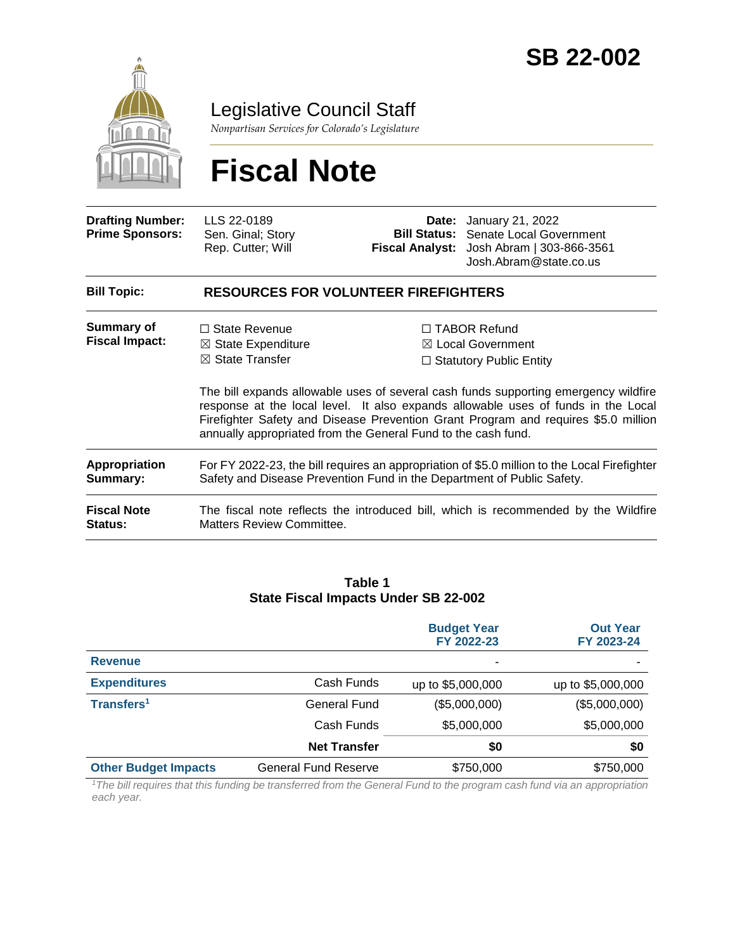

Legislative Council Staff

*Nonpartisan Services for Colorado's Legislature*

# **Fiscal Note**

| <b>Drafting Number:</b><br><b>Prime Sponsors:</b> | LLS 22-0189<br>Sen. Ginal; Story<br>Rep. Cutter; Will                                                                                                                                                                                                                                                                           | <b>Fiscal Analyst:</b> | <b>Date:</b> January 21, 2022<br><b>Bill Status:</b> Senate Local Government<br>Josh Abram   303-866-3561<br>Josh.Abram@state.co.us |  |
|---------------------------------------------------|---------------------------------------------------------------------------------------------------------------------------------------------------------------------------------------------------------------------------------------------------------------------------------------------------------------------------------|------------------------|-------------------------------------------------------------------------------------------------------------------------------------|--|
| <b>Bill Topic:</b>                                | <b>RESOURCES FOR VOLUNTEER FIREFIGHTERS</b>                                                                                                                                                                                                                                                                                     |                        |                                                                                                                                     |  |
| Summary of<br><b>Fiscal Impact:</b>               | $\Box$ State Revenue<br>$\boxtimes$ State Expenditure<br>$\boxtimes$ State Transfer                                                                                                                                                                                                                                             |                        | $\Box$ TABOR Refund<br>$\boxtimes$ Local Government<br>$\Box$ Statutory Public Entity                                               |  |
|                                                   | The bill expands allowable uses of several cash funds supporting emergency wildfire<br>response at the local level. It also expands allowable uses of funds in the Local<br>Firefighter Safety and Disease Prevention Grant Program and requires \$5.0 million<br>annually appropriated from the General Fund to the cash fund. |                        |                                                                                                                                     |  |
| <b>Appropriation</b><br>Summary:                  | For FY 2022-23, the bill requires an appropriation of \$5.0 million to the Local Firefighter<br>Safety and Disease Prevention Fund in the Department of Public Safety.                                                                                                                                                          |                        |                                                                                                                                     |  |
| <b>Fiscal Note</b><br><b>Status:</b>              | The fiscal note reflects the introduced bill, which is recommended by the Wildfire<br>Matters Review Committee.                                                                                                                                                                                                                 |                        |                                                                                                                                     |  |

#### **Table 1 State Fiscal Impacts Under SB 22-002**

|                             |                             | <b>Budget Year</b><br>FY 2022-23 | <b>Out Year</b><br>FY 2023-24 |
|-----------------------------|-----------------------------|----------------------------------|-------------------------------|
| <b>Revenue</b>              |                             | ۰                                |                               |
| <b>Expenditures</b>         | Cash Funds                  | up to \$5,000,000                | up to \$5,000,000             |
| Transfers <sup>1</sup>      | General Fund                | (\$5,000,000)                    | (\$5,000,000)                 |
|                             | Cash Funds                  | \$5,000,000                      | \$5,000,000                   |
|                             | <b>Net Transfer</b>         | \$0                              | \$0                           |
| <b>Other Budget Impacts</b> | <b>General Fund Reserve</b> | \$750,000                        | \$750,000                     |

*<sup>1</sup>The bill requires that this funding be transferred from the General Fund to the program cash fund via an appropriation each year.*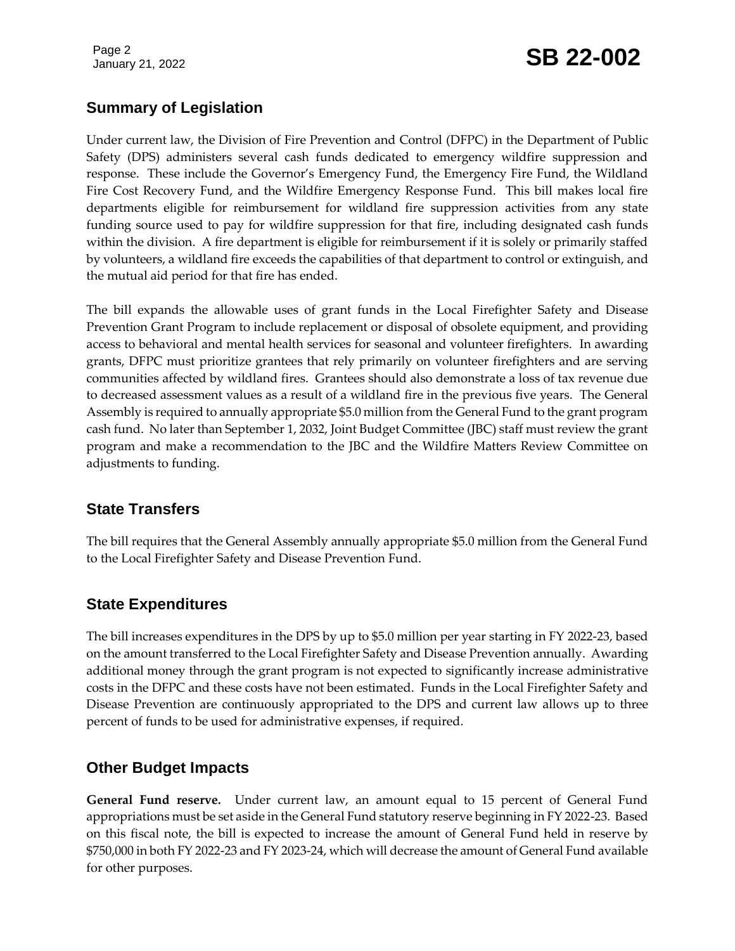Page 2

## January 21, 2022 **SB 22-002**

### **Summary of Legislation**

Under current law, the Division of Fire Prevention and Control (DFPC) in the Department of Public Safety (DPS) administers several cash funds dedicated to emergency wildfire suppression and response. These include the Governor's Emergency Fund, the Emergency Fire Fund, the Wildland Fire Cost Recovery Fund, and the Wildfire Emergency Response Fund. This bill makes local fire departments eligible for reimbursement for wildland fire suppression activities from any state funding source used to pay for wildfire suppression for that fire, including designated cash funds within the division. A fire department is eligible for reimbursement if it is solely or primarily staffed by volunteers, a wildland fire exceeds the capabilities of that department to control or extinguish, and the mutual aid period for that fire has ended.

The bill expands the allowable uses of grant funds in the Local Firefighter Safety and Disease Prevention Grant Program to include replacement or disposal of obsolete equipment, and providing access to behavioral and mental health services for seasonal and volunteer firefighters. In awarding grants, DFPC must prioritize grantees that rely primarily on volunteer firefighters and are serving communities affected by wildland fires. Grantees should also demonstrate a loss of tax revenue due to decreased assessment values as a result of a wildland fire in the previous five years. The General Assembly is required to annually appropriate \$5.0 million from the General Fund to the grant program cash fund. No later than September 1, 2032, Joint Budget Committee (JBC) staff must review the grant program and make a recommendation to the JBC and the Wildfire Matters Review Committee on adjustments to funding.

#### **State Transfers**

The bill requires that the General Assembly annually appropriate \$5.0 million from the General Fund to the Local Firefighter Safety and Disease Prevention Fund.

#### **State Expenditures**

The bill increases expenditures in the DPS by up to \$5.0 million per year starting in FY 2022-23, based on the amount transferred to the Local Firefighter Safety and Disease Prevention annually. Awarding additional money through the grant program is not expected to significantly increase administrative costs in the DFPC and these costs have not been estimated. Funds in the Local Firefighter Safety and Disease Prevention are continuously appropriated to the DPS and current law allows up to three percent of funds to be used for administrative expenses, if required.

#### **Other Budget Impacts**

**General Fund reserve.** Under current law, an amount equal to 15 percent of General Fund appropriations must be set aside in the General Fund statutory reserve beginning in FY 2022-23. Based on this fiscal note, the bill is expected to increase the amount of General Fund held in reserve by \$750,000 in both FY 2022-23 and FY 2023-24, which will decrease the amount of General Fund available for other purposes.